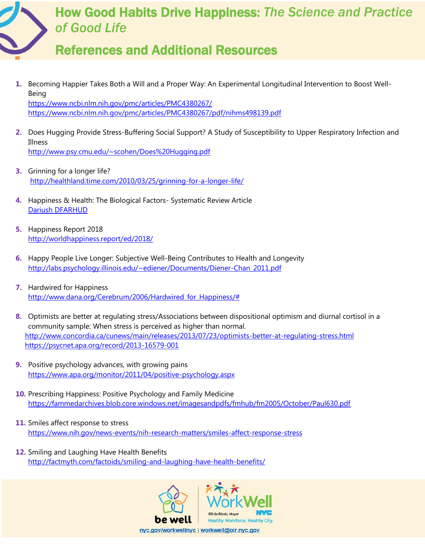

## References and Additional Resources

- **1.** Becoming Happier Takes Both a Will and a Proper Way: An Experimental Longitudinal Intervention to Boost Well-Being <https://www.ncbi.nlm.nih.gov/pmc/articles/PMC4380267/> <https://www.ncbi.nlm.nih.gov/pmc/articles/PMC4380267/pdf/nihms498139.pdf>
- **2.** Does Hugging Provide Stress-Buffering Social Support? A Study of Susceptibility to Upper Respiratory Infection and Illness

<http://www.psy.cmu.edu/~scohen/Does%20Hugging.pdf>

- **3.** Grinning for a longer life? <http://healthland.time.com/2010/03/25/grinning-for-a-longer-life/>
- **4.** Happiness & Health: The Biological Factors- Systematic Review Article [Dariush DFARHUD](https://www.ncbi.nlm.nih.gov/pubmed/?term=DFARHUD%20D%5BAuthor%5D&cauthor=true&cauthor_uid=26060713)
- **5.** Happiness Report 2018 <http://worldhappiness.report/ed/2018/>
- **6.** Happy People Live Longer: Subjective Well-Being Contributes to Health and Longevity [http://labs.psychology.illinois.edu/~ediener/Documents/Diener-Chan\\_2011.pdf](http://labs.psychology.illinois.edu/~ediener/Documents/Diener-Chan_2011.pdf)
- **7.** Hardwired for Happiness http://www.dana.org/Cerebrum/2006/Hardwired for Happiness/#
- **8.** Optimists are better at regulating stress/Associations between dispositional optimism and diurnal cortisol in a community sample: When stress is perceived as higher than normal. <http://www.concordia.ca/cunews/main/releases/2013/07/23/optimists-better-at-regulating-stress.html> <https://psycnet.apa.org/record/2013-16579-001>
- **9.** Positive psychology advances, with growing pains <https://www.apa.org/monitor/2011/04/positive-psychology.aspx>
- **10.** Prescribing Happiness: Positive Psychology and Family Medicine <https://fammedarchives.blob.core.windows.net/imagesandpdfs/fmhub/fm2005/October/Paul630.pdf>
- **11.** Smiles affect response to stress <https://www.nih.gov/news-events/nih-research-matters/smiles-affect-response-stress>
- **12.** Smiling and Laughing Have Health Benefits <http://factmyth.com/factoids/smiling-and-laughing-have-health-benefits/>